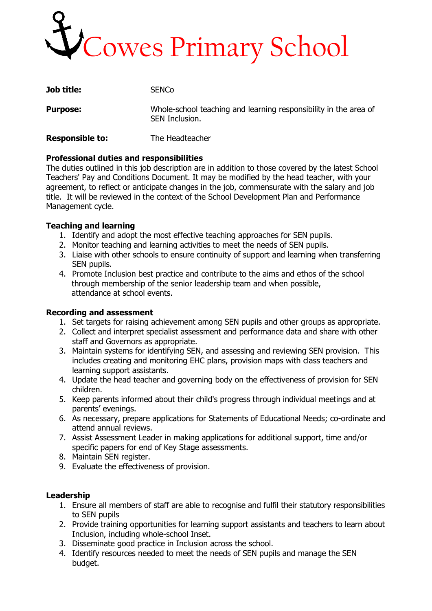# Cowes Primary School

| <b>Job title:</b>      | <b>SENCO</b>                                                                       |
|------------------------|------------------------------------------------------------------------------------|
| <b>Purpose:</b>        | Whole-school teaching and learning responsibility in the area of<br>SEN Inclusion. |
| <b>Responsible to:</b> | The Headteacher                                                                    |

# **Professional duties and responsibilities**

The duties outlined in this job description are in addition to those covered by the latest School Teachers' Pay and Conditions Document. It may be modified by the head teacher, with your agreement, to reflect or anticipate changes in the job, commensurate with the salary and job title. It will be reviewed in the context of the School Development Plan and Performance Management cycle.

## **Teaching and learning**

- 1. Identify and adopt the most effective teaching approaches for SEN pupils.
- 2. Monitor teaching and learning activities to meet the needs of SEN pupils.
- 3. Liaise with other schools to ensure continuity of support and learning when transferring SEN pupils.
- 4. Promote Inclusion best practice and contribute to the aims and ethos of the school through membership of the senior leadership team and when possible, attendance at school events.

## **Recording and assessment**

- 1. Set targets for raising achievement among SEN pupils and other groups as appropriate.
- 2. Collect and interpret specialist assessment and performance data and share with other staff and Governors as appropriate.
- 3. Maintain systems for identifying SEN, and assessing and reviewing SEN provision. This includes creating and monitoring EHC plans, provision maps with class teachers and learning support assistants.
- 4. Update the head teacher and governing body on the effectiveness of provision for SEN children.
- 5. Keep parents informed about their child's progress through individual meetings and at parents' evenings.
- 6. As necessary, prepare applications for Statements of Educational Needs; co-ordinate and attend annual reviews.
- 7. Assist Assessment Leader in making applications for additional support, time and/or specific papers for end of Key Stage assessments.
- 8. Maintain SEN register.
- 9. Evaluate the effectiveness of provision.

## **Leadership**

- 1. Ensure all members of staff are able to recognise and fulfil their statutory responsibilities to SEN pupils
- 2. Provide training opportunities for learning support assistants and teachers to learn about Inclusion, including whole-school Inset.
- 3. Disseminate good practice in Inclusion across the school.
- 4. Identify resources needed to meet the needs of SEN pupils and manage the SEN budget.